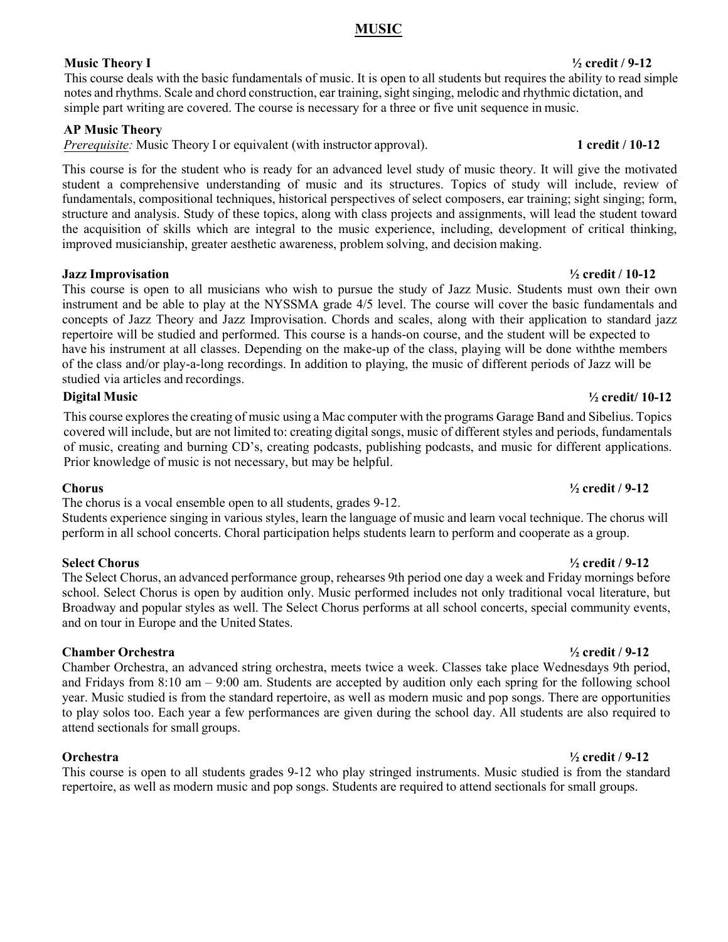## **MUSIC**

## **Music Theory I ½ credit / 9-12**

This course deals with the basic fundamentals of music. It is open to all students but requires the ability to read simple notes and rhythms. Scale and chord construction, ear training, sight singing, melodic and rhythmic dictation, and simple part writing are covered. The course is necessary for a three or five unit sequence in music.

## **AP Music Theory**

*Prerequisite:* Music Theory I or equivalent (with instructor approval). **1 credit / 10-12** 

This course is for the student who is ready for an advanced level study of music theory. It will give the motivated student a comprehensive understanding of music and its structures. Topics of study will include, review of fundamentals, compositional techniques, historical perspectives of select composers, ear training; sight singing; form, structure and analysis. Study of these topics, along with class projects and assignments, will lead the student toward the acquisition of skills which are integral to the music experience, including, development of critical thinking, improved musicianship, greater aesthetic awareness, problem solving, and decision making.

## **Jazz Improvisation ½ credit / 10-12**

This course is open to all musicians who wish to pursue the study of Jazz Music. Students must own their own instrument and be able to play at the NYSSMA grade 4/5 level. The course will cover the basic fundamentals and concepts of Jazz Theory and Jazz Improvisation. Chords and scales, along with their application to standard jazz repertoire will be studied and performed. This course is a hands-on course, and the student will be expected to have his instrument at all classes. Depending on the make-up of the class, playing will be done withthe members of the class and/or play-a-long recordings. In addition to playing, the music of different periods of Jazz will be studied via articles and recordings.

## **Digital Music ½ credit/ 10-12**

This course explores the creating of music using a Mac computer with the programs Garage Band and Sibelius. Topics covered will include, but are not limited to: creating digital songs, music of different styles and periods, fundamentals of music, creating and burning CD's, creating podcasts, publishing podcasts, and music for different applications. Prior knowledge of music is not necessary, but may be helpful.

The chorus is a vocal ensemble open to all students, grades 9-12.

Students experience singing in various styles, learn the language of music and learn vocal technique. The chorus will perform in all school concerts. Choral participation helps students learn to perform and cooperate as a group.

The Select Chorus, an advanced performance group, rehearses 9th period one day a week and Friday mornings before school. Select Chorus is open by audition only. Music performed includes not only traditional vocal literature, but Broadway and popular styles as well. The Select Chorus performs at all school concerts, special community events, and on tour in Europe and the United States.

## **Chamber Orchestra ½ credit / 9-12**

Chamber Orchestra, an advanced string orchestra, meets twice a week. Classes take place Wednesdays 9th period, and Fridays from 8:10 am – 9:00 am. Students are accepted by audition only each spring for the following school year. Music studied is from the standard repertoire, as well as modern music and pop songs. There are opportunities to play solos too. Each year a few performances are given during the school day. All students are also required to attend sectionals for small groups.

This course is open to all students grades 9-12 who play stringed instruments. Music studied is from the standard repertoire, as well as modern music and pop songs. Students are required to attend sectionals for small groups.

# **Chorus ½ credit / 9-12**

## **Select Chorus ½ credit / 9-12**

### **Orchestra ½ credit / 9-12**